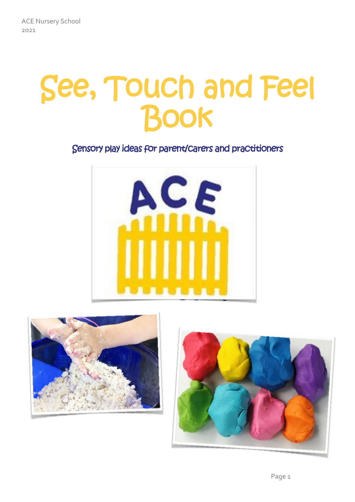# See, Touch and Feel Book

#### Sensory play ideas for parent/carers and practitioners





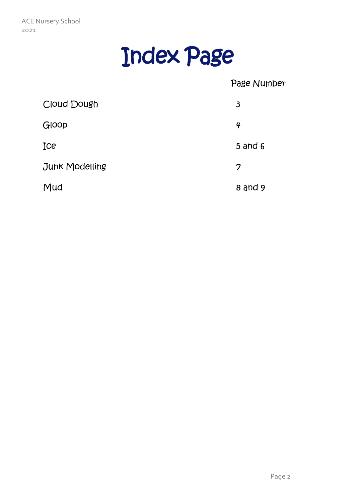

#### Page Number

| Cloud Dough    | 3              |
|----------------|----------------|
| Gloop          | $\overline{4}$ |
| Ice            | $5$ and $6$    |
| Junk Modelling | 7              |
| Mud            | $8$ and $9$    |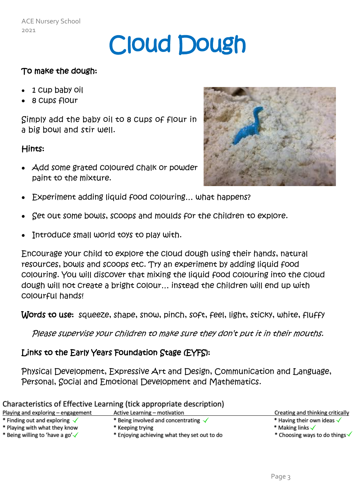### Cloud Dough

#### To make the dough:

- 1 cup baby oil
- 8 cups flour

Simply add the baby oil to 8 cups of flour in a big bowl and stir well.

#### Hints:

 Add some grated coloured chalk or powder paint to the mixture.



- Experiment adding liquid food colouring… what happens?
- Set out some bowls, scoops and moulds for the children to explore.
- Introduce small world toys to play with.

Encourage your child to explore the cloud dough using their hands, natural resources, bowls and scoops etc. Try an experiment by adding liquid food colouring. You will discover that mixing the liquid food colouring into the cloud dough will not create a bright colour… instead the children will end up with colourful hands!

Words to use: squeeze, shape, snow, pinch, soft, feel, light, sticky, white, fluffy

Please supervise your children to make sure they don't put it in their mouths.

#### Links to the Early Years Foundation Stage (EYFS):

Physical Development, Expressive Art and Design, Communication and Language, Personal, Social and Emotional Development and Mathematics.

|                                             | Characteristics of Effective Learning (tick appropriate description) |                                           |
|---------------------------------------------|----------------------------------------------------------------------|-------------------------------------------|
| Playing and exploring – engagement          | Active Learning – motivation                                         | Creating and thinking critically          |
| * Finding out and exploring $\checkmark$    | * Being involved and concentrating $\sqrt{}$                         | * Having their own ideas $\checkmark$     |
| * Playing with what they know               | * Keeping trying                                                     | * Making links $\checkmark$               |
| * Being willing to 'have a go' $\checkmark$ | * Enjoying achieving what they set out to do                         | * Choosing ways to do things $\checkmark$ |
|                                             |                                                                      |                                           |

#### of Effective Learning (tick annonriate description)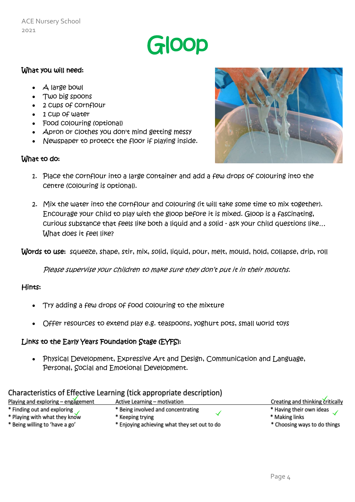### Gloop

#### What you will need:

- A large bowl
- Two big spoons
- 2 cups of cornflour
- 1 Cup of water
- Food colouring (optional)
- Apron or clothes you don't mind getting messy
- Newspaper to protect the floor if playing inside.

#### What to do:



- 1. Place the cornflour into a large container and add a few drops of colouring into the centre (colouring is optional).
- 2. Mix the water into the cornflour and colouring (it will take some time to mix together). Encourage your child to play with the gloop before it is mixed. Gloop is a fascinating, curious substance that feels like both a liquid and a solid - ask your child questions like… What does it feel like?

Words to use: squeeze, shape, stir, mix, solid, liquid, pour, melt, mould, hold, collapse, drip, roll

Please supervise your children to make sure they don't put it in their mouths.

#### Hints:

- Try adding a few drops of food colouring to the mixture
- Offer resources to extend play e.g. teaspoons, yoghurt pots, small world toys

#### Links to the Early Years Foundation Stage (EYFS):

 Physical Development, Expressive Art and Design, Communication and Language, Personal, Social and Emotional Development.

|                                    | Sharasteristics of Engerica Economic (tion appropriate accentation) |                                  |
|------------------------------------|---------------------------------------------------------------------|----------------------------------|
| Playing and exploring – engagement | Active Learning – motivation                                        | Creating and thinking critically |
| * Finding out and exploring        | * Being involved and concentrating                                  | * Having their own ideas         |
| * Playing with what they know      | * Keeping trying                                                    | * Making links                   |
| * Being willing to 'have a go'     | * Enjoying achieving what they set out to do                        | * Choosing ways to do things     |

#### Characteristics of Effective Learning (tick appropriate description)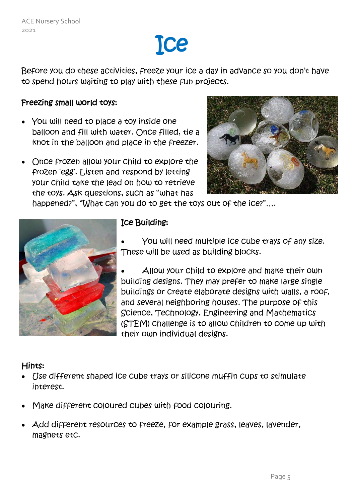### Ice

Before you do these activities, freeze your ice a day in advance so you don't have to spend hours waiting to play with these fun projects.

#### Freezing small world toys:

- You will need to place a toy inside one balloon and fill with water. Once filled, tie a knot in the balloon and place in the freezer.
- Once frozen allow your child to explore the frozen 'egg'. Listen and respond by letting your child take the lead on how to retrieve the toys. Ask questions, such as "what has



happened?", "What can you do to get the toys out of the ice?"….



#### Ice Building:

 You will need multiple ice cube trays of any size. These will be used as building blocks.

 Allow your child to explore and make their own building designs. They may prefer to make large single buildings or create elaborate designs with walls, a roof, and several neighboring houses. The purpose of this Science, Technology, Engineering and Mathematics (STEM) challenge is to allow children to come up with their own individual designs.

#### Hints:

- Use different shaped ice cube trays or silicone muffin cups to stimulate interest.
- Make different coloured cubes with food colouring.
- Add different resources to freeze, for example grass, leaves, lavender, magnets etc.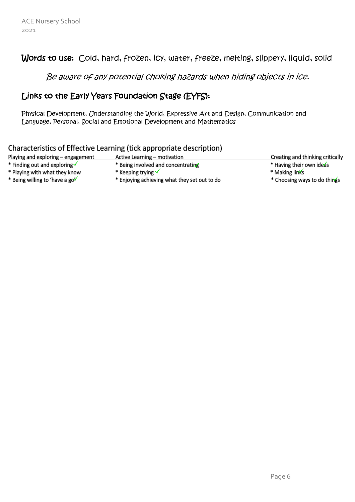#### Words to use: Cold, hard, frozen, icy, water, freeze, melting, slippery, liquid, solid

Be aware of any potential choking hazards when hiding objects in ice.

#### Links to the Early Years Foundation Stage (EYFS):

Physical Development, Understanding the World, Expressive Art and Design, Communication and Language, Personal, Social and Emotional Development and Mathematics

#### Characteristics of Effective Learning (tick appropriate description)

| Playing and exploring - engagement       | Active Learning – motivation                 | Creating and thinking critically |
|------------------------------------------|----------------------------------------------|----------------------------------|
| * Finding out and exploring $\checkmark$ | * Being involved and concentrating           | * Having their own ideas         |
| * Playing with what they know            | * Keeping trying $\checkmark$                | * Making links                   |
| * Being willing to 'have a go'           | * Enjoying achieving what they set out to do | * Choosing ways to do things     |
|                                          |                                              |                                  |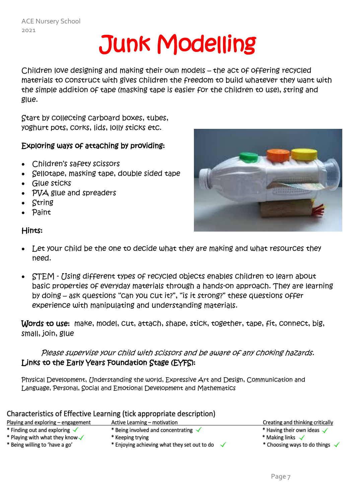## Junk Modelling

Children love designing and making their own models – the act of offering recycled materials to construct with gives children the freedom to build whatever they want with the simple addition of tape (masking tape is easier for the children to use), string and glue.

Start by collecting carboard boxes, tubes, yoghurt pots, corks, lids, lolly sticks etc.

#### Exploring ways of attaching by providing:

- Children's safety scissors
- Sellotape, masking tape, double sided tape
- Glue sticks
- PVA glue and spreaders
- String
- Paint

#### Hints:



- Let your child be the one to decide what they are making and what resources they need.
- STEM Using different types of recycled objects enables children to learn about basic properties of everyday materials through a hands-on approach. They are learning by doing – ask questions "can you cut it?", "is it strong?" these questions offer experience with manipulating and understanding materials.

Words to use: make, model, cut, attach, shape, stick, together, tape, fit, connect, big, small, join, glue

Please supervise your child with scissors and be aware of any choking hazards. Links to the Early Years Foundation Stage (EYFS):

Physical Development, Understanding the world, Expressive Art and Design, Communication and Language, Personal, Social and Emotional Development and Mathematics

| Characteristics of Effective Learning (tick appropriate description) |                                              |  |                                        |
|----------------------------------------------------------------------|----------------------------------------------|--|----------------------------------------|
| Playing and exploring - engagement                                   | Active Learning – motivation                 |  | Creating and thinking critically       |
| * Finding out and exploring $\checkmark$                             | * Being involved and concentrating $\sqrt{}$ |  | * Having their own ideas $\checkmark$  |
| * Playing with what they know $\checkmark$                           | * Keeping trying                             |  | * Making links $\checkmark$            |
| * Being willing to 'have a go'                                       | * Enjoying achieving what they set out to do |  | * Choosing ways to do things $\sqrt{}$ |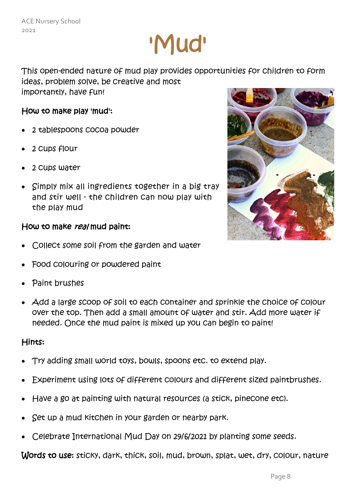## 'Mud'

This open-ended nature of mud play provides opportunities for children to form ideas, problem solve, be creative and most importantly, have fun!

#### How to make play 'mud':

- 2 tablespoons cocoa powder
- 2 cups flour
- 2 cups water
- Simply mix all ingredients together in a big tray and stir well - the children can now play with the play mud

#### How to make real mud paint:

- Collect some soil from the garden and water
- Food colouring or powdered paint
- Paint brushes
- Add a large scoop of soil to each container and sprinkle the choice of colour over the top. Then add a small amount of water and stir. Add more water if needed. Once the mud paint is mixed up you can begin to paint!

#### Hints:

- Try adding small world toys, bowls, spoons etc. to extend play.
- Experiment using lots of different colours and different sized paintbrushes.
- Have a go at painting with natural resources (a stick, pinecone etc).
- Set up a mud kitchen in your garden or nearby park.
- Celebrate International Mud Day on 29/6/2021 by planting some seeds.

Words to use: sticky, dark, thick, soil, mud, brown, splat, wet, dry, colour, nature